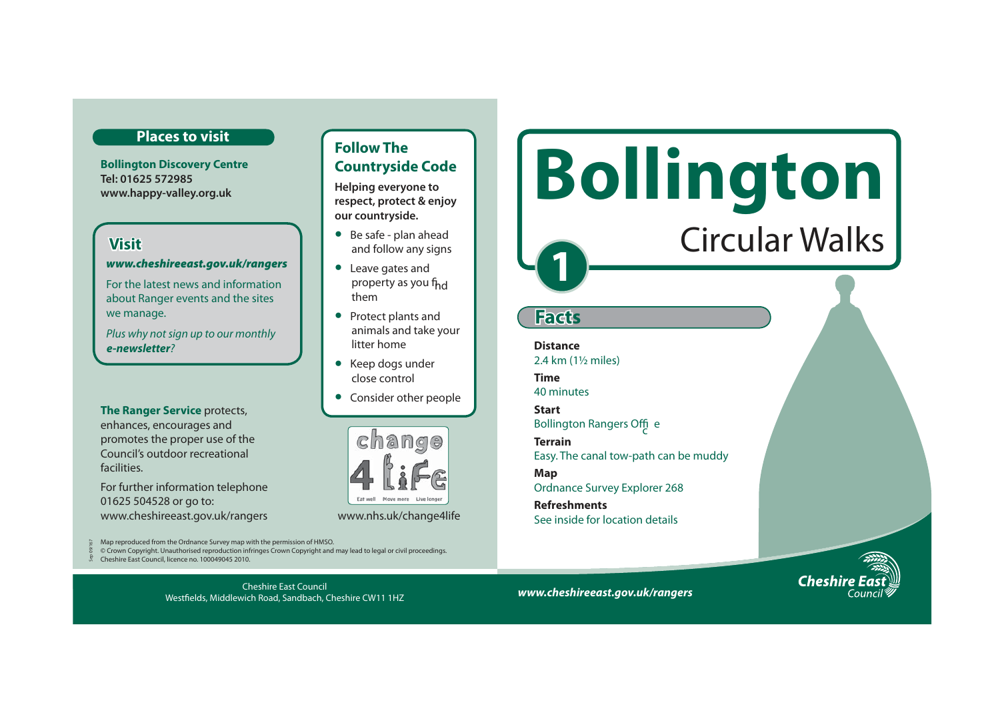### **Places to visit**

**Bollington Discovery Centre Tel: 01625 572985 www.happy-valley.org.uk** 

# **Visit**

#### *www.cheshireeast.gov.uk/rangers*

For the latest news and information about Ranger events and the sites we manage.

Plus why not sign up to our monthly *e-newsletter*?

### **The Ranger Service** protects, enhances, encourages and promotes the proper use of the Council's outdoor recreational facilities.

For further information telephone 01625 504528 or go to: www.cheshireeast.gov.uk/rangers www.nhs.uk/change4life

Map reproduced from the Ordnance Survey map with the permission of HMSO.

© Crown Copyright. Unauthorised reproduction infringes Crown Copyright and may lead to legal or civil proceedings.

Cheshire East Council Westfields, Middlewich Road, Sandbach, Cheshire CW11 1HZ

Cheshire East Council, licence no. 100049045 2010. Sep 09/167

# **Follow The Countryside Code**

**Example 20 EXCOMPLE SOFTE Helping everyone to respect, protect & enjoy our countryside.**

- Be safe plan ahead and follow any signs
- Leave gates and property as you f<sub>hd</sub> them
- Protect plants and animals and take your litter home
- Keep dogs under close control
- Consider other people



*www.cheshireeast.gov.uk/rangers*

Easy. The canal tow-path can be muddy

**1** 

**Facts**

**Distance** 

**Time** 40 minutes **Start** 

**Terrain** 

**Refreshments** 

**Map** 

2.4 km (1½ miles)

Bollington Rangers Offic <sup>e</sup>

Ordnance Survey Explorer 268

See inside for location details



Circular Walks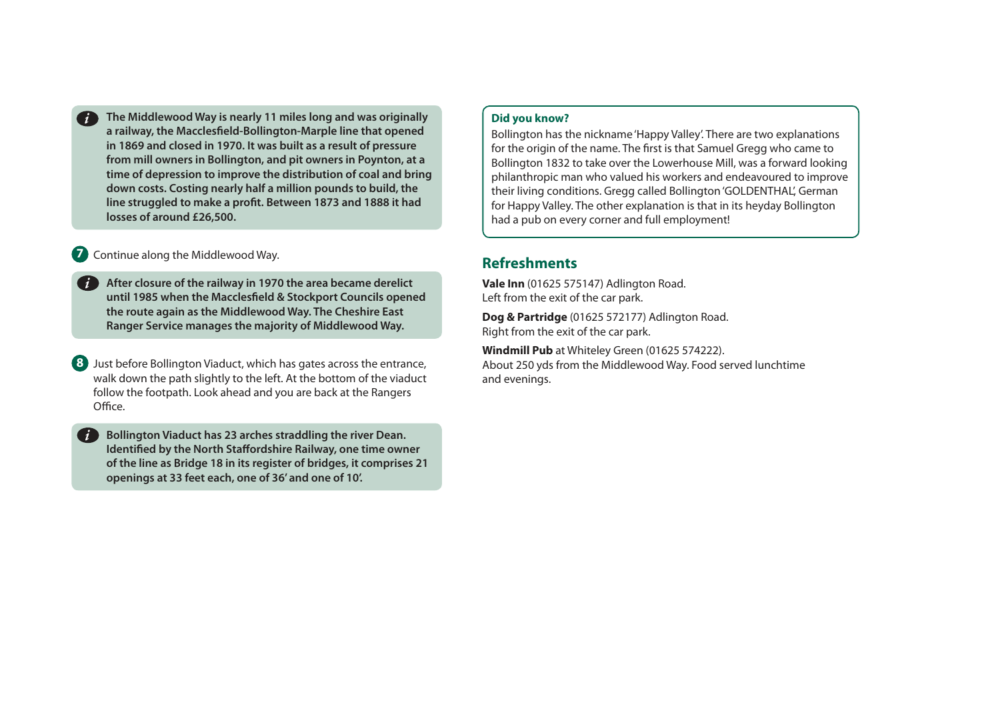**The Middlewood Way is nearly 11 miles long and was originally a railway, the Macclesfield-Bollington-Marple line that opened in 1869 and closed in 1970. It was built as a result of pressure from mill owners in Bollington, and pit owners in Poynton, at a time of depression to improve the distribution of coal and bring down costs. Costing nearly half a million pounds to build, the line struggled to make a profit. Between 1873 and 1888 it had losses of around £26,500.**  *i*

## **7** Continue along the Middlewood Way.

*i*

**After closure of the railway in 1970 the area became derelict until 1985 when the Macclesfield & Stockport Councils opened the route again as the Middlewood Way. The Cheshire East Ranger Service manages the majority of Middlewood Way.** 

**8** Just before Bollington Viaduct, which has gates across the entrance, walk down the path slightly to the left. At the bottom of the viaduct follow the footpath. Look ahead and you are back at the Rangers Office.

**Bollington Viaduct has 23 arches straddling the river Dean. Identified by the North Staffordshire Railway, one time owner of the line as Bridge 18 in its register of bridges, it comprises 21 openings at 33 feet each, one of 36' and one of 10'.** 

## **Did you know?**

Bollington has the nickname 'Happy Valley'. There are two explanations for the origin of the name. The first is that Samuel Gregg who came to Bollington 1832 to take over the Lowerhouse Mill, was a forward looking philanthropic man who valued his workers and endeavoured to improve their living conditions. Gregg called Bollington 'GOLDENTHAL', German for Happy Valley. The other explanation is that in its heyday Bollington had a pub on every corner and full employment!

# **Refreshments**

**Vale Inn** (01625 575147) Adlington Road. Left from the exit of the car park.

**Dog & Partridge** (01625 572177) Adlington Road. Right from the exit of the car park.

**Windmill Pub** at Whiteley Green (01625 574222). About 250 yds from the Middlewood Way. Food served lunchtime and evenings.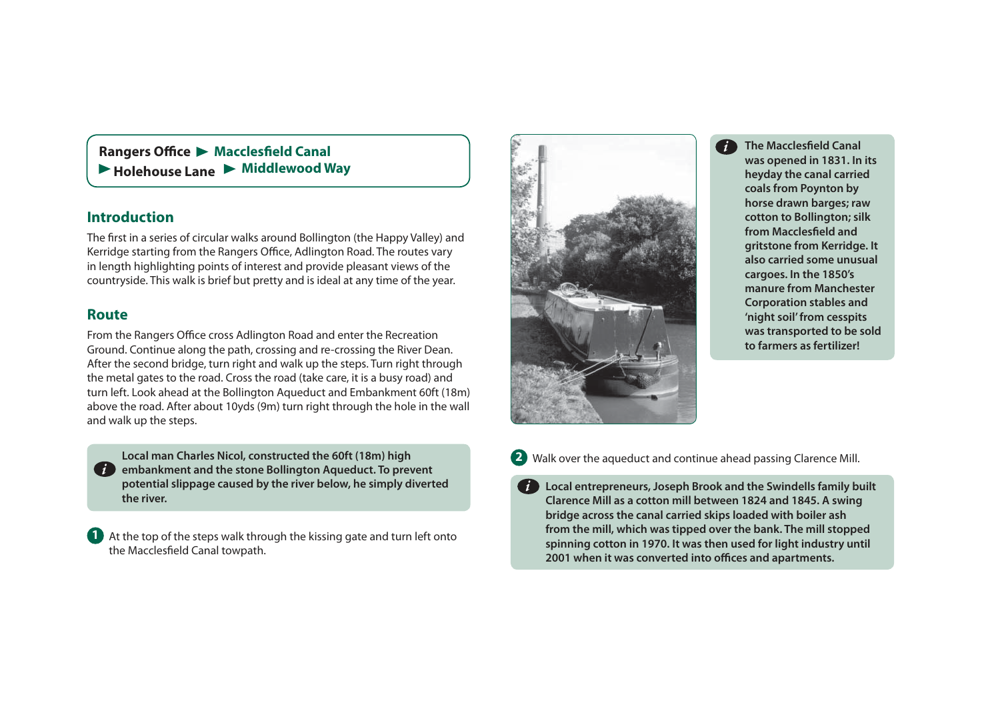**Rangers Office • Macclesfield Canal** ▶ Holehouse Lane ▶ Middlewood Way

# **Introduction**

The first in a series of circular walks around Bollington (the Happy Valley) and Kerridge starting from the Rangers Office, Adlington Road. The routes vary in length highlighting points of interest and provide pleasant views of the countryside. This walk is brief but pretty and is ideal at any time of the year.

# **Route**

From the Rangers Office cross Adlington Road and enter the Recreation Ground. Continue along the path, crossing and re-crossing the River Dean. After the second bridge, turn right and walk up the steps. Turn right through the metal gates to the road. Cross the road (take care, it is a busy road) and turn left. Look ahead at the Bollington Aqueduct and Embankment 60ft (18m) above the road. After about 10yds (9m) turn right through the hole in the wall and walk up the steps.

**Local man Charles Nicol, constructed the 60ft (18m) high**  *i* embankment and the stone Bollington Aqueduct. To prevent **potential slippage caused by the river below, he simply diverted the river.** 

**1** At the top of the steps walk through the kissing gate and turn left onto the Macclesfield Canal towpath.



**The Macclesfield Canal was opened in 1831. In its heyday the canal carried coals from Poynton by horse drawn barges; raw cotton to Bollington; silk**  from Macclesfield and **gritstone from Kerridge. It also carried some unusual cargoes. In the 1850's manure from Manchester Corporation stables and 'night soil' from cesspits was transported to be sold to farmers as fertilizer!** 



**Local entrepreneurs, Joseph Brook and the Swindells family built Clarence Mill as a cotton mill between 1824 and 1845. A swing bridge across the canal carried skips loaded with boiler ash from the mill, which was tipped over the bank. The mill stopped spinning cotton in 1970. It was then used for light industry until 2001 when it was converted into offices and apartments.**  *i*